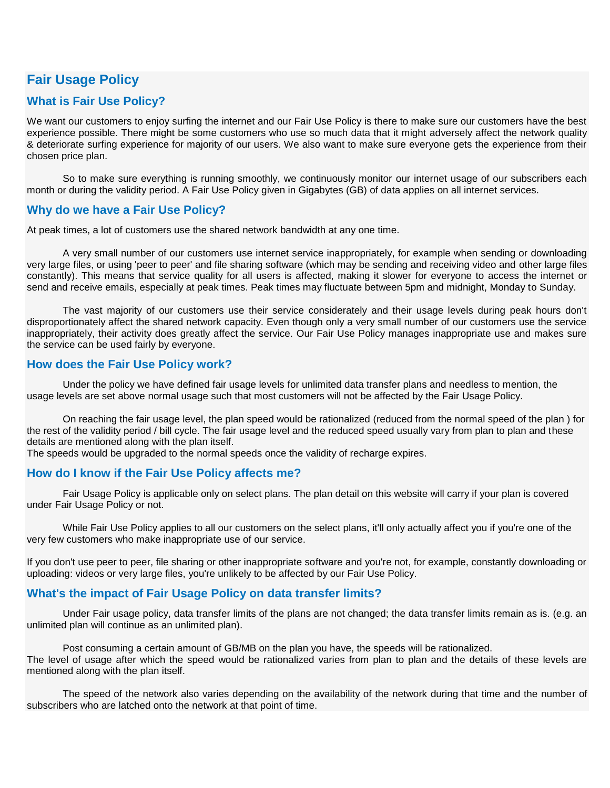# **Fair Usage Policy**

## **What is Fair Use Policy?**

We want our customers to enjoy surfing the internet and our Fair Use Policy is there to make sure our customers have the best experience possible. There might be some customers who use so much data that it might adversely affect the network quality & deteriorate surfing experience for majority of our users. We also want to make sure everyone gets the experience from their chosen price plan.

So to make sure everything is running smoothly, we continuously monitor our internet usage of our subscribers each month or during the validity period. A Fair Use Policy given in Gigabytes (GB) of data applies on all internet services.

#### **Why do we have a Fair Use Policy?**

At peak times, a lot of customers use the shared network bandwidth at any one time.

A very small number of our customers use internet service inappropriately, for example when sending or downloading very large files, or using 'peer to peer' and file sharing software (which may be sending and receiving video and other large files constantly). This means that service quality for all users is affected, making it slower for everyone to access the internet or send and receive emails, especially at peak times. Peak times may fluctuate between 5pm and midnight, Monday to Sunday.

The vast majority of our customers use their service considerately and their usage levels during peak hours don't disproportionately affect the shared network capacity. Even though only a very small number of our customers use the service inappropriately, their activity does greatly affect the service. Our Fair Use Policy manages inappropriate use and makes sure the service can be used fairly by everyone.

#### **How does the Fair Use Policy work?**

Under the policy we have defined fair usage levels for unlimited data transfer plans and needless to mention, the usage levels are set above normal usage such that most customers will not be affected by the Fair Usage Policy.

On reaching the fair usage level, the plan speed would be rationalized (reduced from the normal speed of the plan ) for the rest of the validity period / bill cycle. The fair usage level and the reduced speed usually vary from plan to plan and these details are mentioned along with the plan itself.

The speeds would be upgraded to the normal speeds once the validity of recharge expires.

#### **How do I know if the Fair Use Policy affects me?**

Fair Usage Policy is applicable only on select plans. The plan detail on this website will carry if your plan is covered under Fair Usage Policy or not.

While Fair Use Policy applies to all our customers on the select plans, it'll only actually affect you if you're one of the very few customers who make inappropriate use of our service.

If you don't use peer to peer, file sharing or other inappropriate software and you're not, for example, constantly downloading or uploading: videos or very large files, you're unlikely to be affected by our Fair Use Policy.

#### **What's the impact of Fair Usage Policy on data transfer limits?**

Under Fair usage policy, data transfer limits of the plans are not changed; the data transfer limits remain as is. (e.g. an unlimited plan will continue as an unlimited plan).

Post consuming a certain amount of GB/MB on the plan you have, the speeds will be rationalized. The level of usage after which the speed would be rationalized varies from plan to plan and the details of these levels are mentioned along with the plan itself.

The speed of the network also varies depending on the availability of the network during that time and the number of subscribers who are latched onto the network at that point of time.